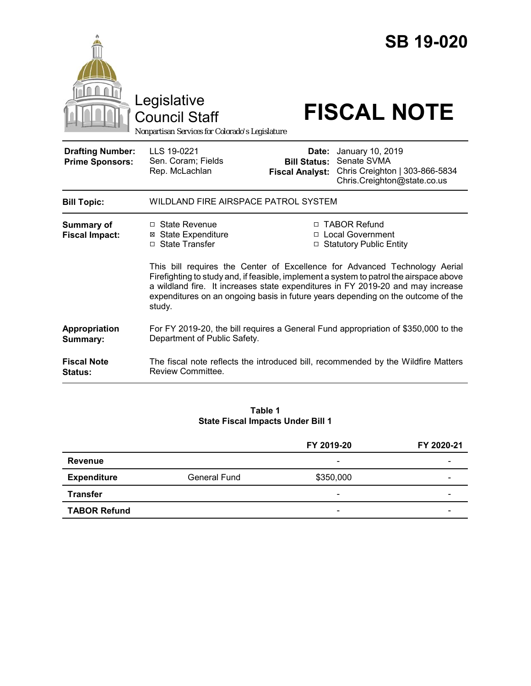

#### **Table 1 State Fiscal Impacts Under Bill 1**

|                     |                     | FY 2019-20               | FY 2020-21 |
|---------------------|---------------------|--------------------------|------------|
| <b>Revenue</b>      |                     | $\overline{\phantom{a}}$ |            |
| <b>Expenditure</b>  | <b>General Fund</b> | \$350,000                | -          |
| <b>Transfer</b>     |                     | $\overline{\phantom{a}}$ | -          |
| <b>TABOR Refund</b> |                     | $\overline{\phantom{0}}$ |            |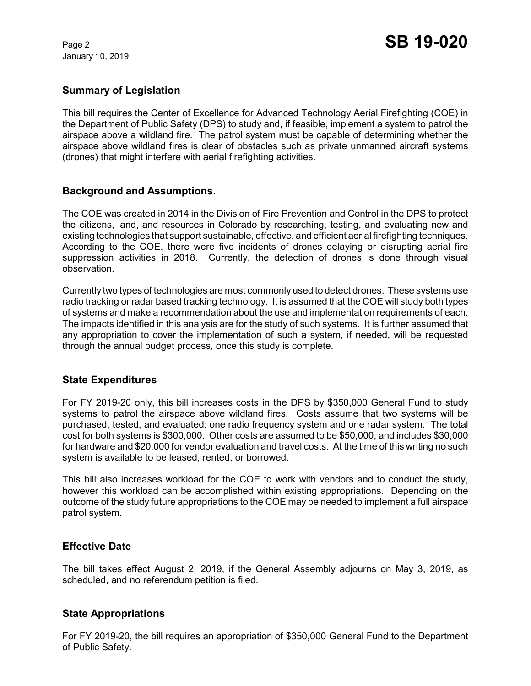January 10, 2019

# **Summary of Legislation**

This bill requires the Center of Excellence for Advanced Technology Aerial Firefighting (COE) in the Department of Public Safety (DPS) to study and, if feasible, implement a system to patrol the airspace above a wildland fire. The patrol system must be capable of determining whether the airspace above wildland fires is clear of obstacles such as private unmanned aircraft systems (drones) that might interfere with aerial firefighting activities.

### **Background and Assumptions.**

The COE was created in 2014 in the Division of Fire Prevention and Control in the DPS to protect the citizens, land, and resources in Colorado by researching, testing, and evaluating new and existing technologies that support sustainable, effective, and efficient aerial firefighting techniques. According to the COE, there were five incidents of drones delaying or disrupting aerial fire suppression activities in 2018. Currently, the detection of drones is done through visual observation.

Currently two types of technologies are most commonly used to detect drones. These systems use radio tracking or radar based tracking technology. It is assumed that the COE will study both types of systems and make a recommendation about the use and implementation requirements of each. The impacts identified in this analysis are for the study of such systems. It is further assumed that any appropriation to cover the implementation of such a system, if needed, will be requested through the annual budget process, once this study is complete.

### **State Expenditures**

For FY 2019-20 only, this bill increases costs in the DPS by \$350,000 General Fund to study systems to patrol the airspace above wildland fires. Costs assume that two systems will be purchased, tested, and evaluated: one radio frequency system and one radar system. The total cost for both systems is \$300,000. Other costs are assumed to be \$50,000, and includes \$30,000 for hardware and \$20,000 for vendor evaluation and travel costs. At the time of this writing no such system is available to be leased, rented, or borrowed.

This bill also increases workload for the COE to work with vendors and to conduct the study, however this workload can be accomplished within existing appropriations. Depending on the outcome of the study future appropriations to the COE may be needed to implement a full airspace patrol system.

### **Effective Date**

The bill takes effect August 2, 2019, if the General Assembly adjourns on May 3, 2019, as scheduled, and no referendum petition is filed.

### **State Appropriations**

For FY 2019-20, the bill requires an appropriation of \$350,000 General Fund to the Department of Public Safety.